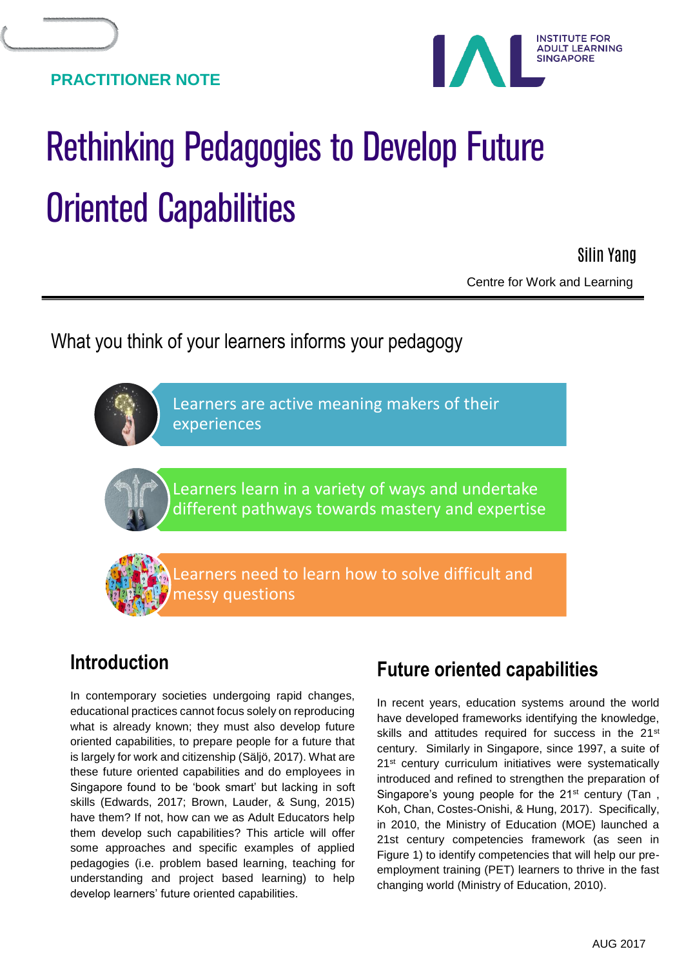

# Rethinking Pedagogies to Develop Future Oriented Capabilities

 Centre for Work and Learning Silin Yang

What you think of your learners informs your pedagogy

Learners are active meaning makers of their experiences

Learners learn in a variety of ways and undertake different pathways towards mastery and expertise

earners need to learn how to solve difficult and messy questions

## **Introduction**

In contemporary societies undergoing rapid changes, educational practices cannot focus solely on reproducing what is already known; they must also develop future oriented capabilities, to prepare people for a future that is largely for work and citizenship (Säljö, 2017). What are these future oriented capabilities and do employees in Singapore found to be 'book smart' but lacking in soft skills (Edwards, 2017; Brown, Lauder, & Sung, 2015) have them? If not, how can we as Adult Educators help them develop such capabilities? This article will offer some approaches and specific examples of applied pedagogies (i.e. problem based learning, teaching for understanding and project based learning) to help develop learners' future oriented capabilities.

## **Future oriented capabilities**

In recent years, education systems around the world have developed frameworks identifying the knowledge, skills and attitudes required for success in the 21<sup>st</sup> century. Similarly in Singapore, since 1997, a suite of 21<sup>st</sup> century curriculum initiatives were systematically introduced and refined to strengthen the preparation of Singapore's young people for the 21<sup>st</sup> century (Tan, Koh, Chan, Costes-Onishi, & Hung, 2017). Specifically, in 2010, the Ministry of Education (MOE) launched a 21st century competencies framework (as seen in Figure 1) to identify competencies that will help our preemployment training (PET) learners to thrive in the fast changing world (Ministry of Education, 2010).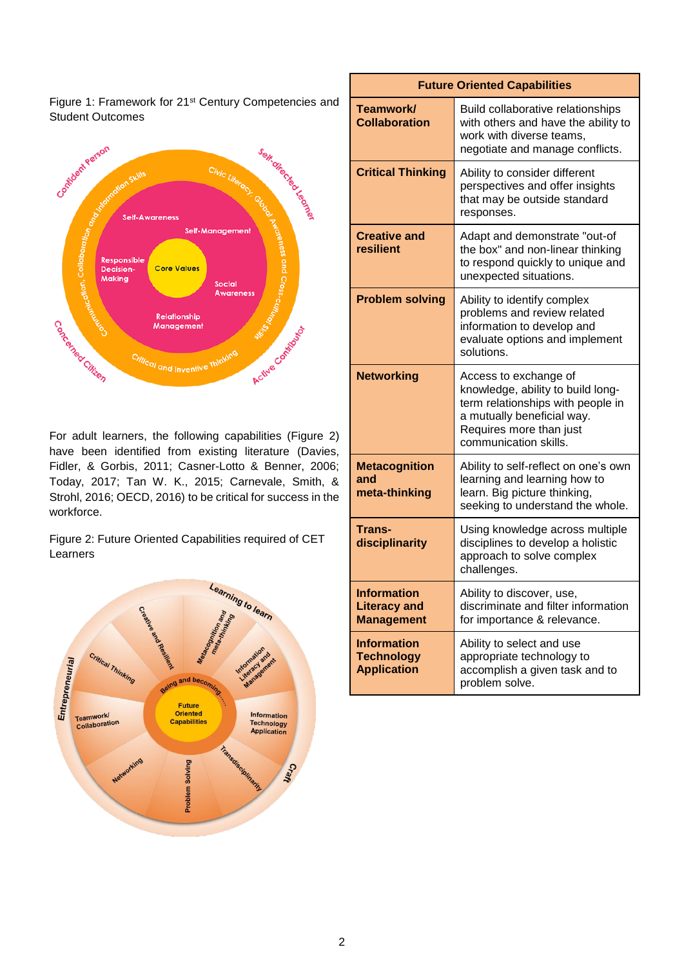Figure 1: Framework for 21st Century Competencies and Student Outcomes



For adult learners, the following capabilities (Figure 2) have been identified from existing literature (Davies, Fidler, & Gorbis, 2011; Casner-Lotto & Benner, 2006; Today, 2017; Tan W. K., 2015; Carnevale, Smith, & Strohl, 2016; OECD, 2016) to be critical for success in the workforce.

Figure 2: Future Oriented Capabilities required of CET Learners



| <b>Future Oriented Capabilities</b>                            |                                                                                                                                                                                   |
|----------------------------------------------------------------|-----------------------------------------------------------------------------------------------------------------------------------------------------------------------------------|
| Teamwork/<br><b>Collaboration</b>                              | Build collaborative relationships<br>with others and have the ability to<br>work with diverse teams,<br>negotiate and manage conflicts.                                           |
| <b>Critical Thinking</b>                                       | Ability to consider different<br>perspectives and offer insights<br>that may be outside standard<br>responses.                                                                    |
| <b>Creative and</b><br>resilient                               | Adapt and demonstrate "out-of<br>the box" and non-linear thinking<br>to respond quickly to unique and<br>unexpected situations.                                                   |
| <b>Problem solving</b>                                         | Ability to identify complex<br>problems and review related<br>information to develop and<br>evaluate options and implement<br>solutions.                                          |
| <b>Networking</b>                                              | Access to exchange of<br>knowledge, ability to build long-<br>term relationships with people in<br>a mutually beneficial way.<br>Requires more than just<br>communication skills. |
| <b>Metacognition</b><br>and<br>meta-thinking                   | Ability to self-reflect on one's own<br>learning and learning how to<br>learn. Big picture thinking,<br>seeking to understand the whole.                                          |
| Trans-<br>disciplinarity                                       | Using knowledge across multiple<br>disciplines to develop a holistic<br>approach to solve complex<br>challenges.                                                                  |
| <b>Information</b><br><b>Literacy and</b><br><b>Management</b> | Ability to discover, use,<br>discriminate and filter information<br>for importance & relevance.                                                                                   |
| <b>Information</b><br><b>Technology</b><br><b>Application</b>  | Ability to select and use<br>appropriate technology to<br>accomplish a given task and to<br>problem solve.                                                                        |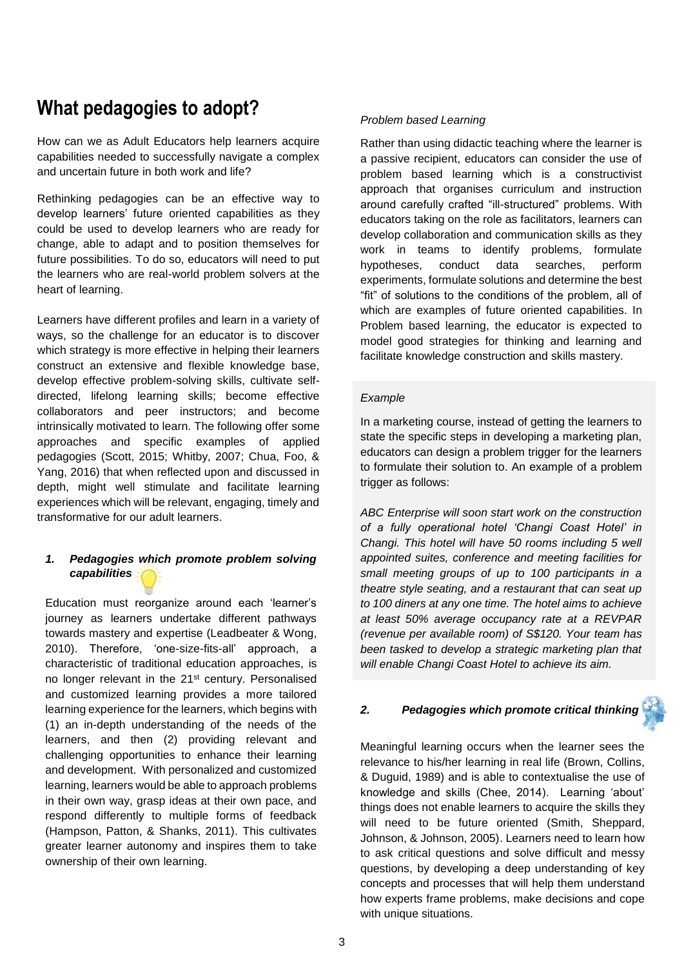## **What pedagogies to adopt?**

How can we as Adult Educators help learners acquire capabilities needed to successfully navigate a complex and uncertain future in both work and life?

Rethinking pedagogies can be an effective way to develop learners' future oriented capabilities as they could be used to develop learners who are ready for change, able to adapt and to position themselves for future possibilities. To do so, educators will need to put the learners who are real-world problem solvers at the heart of learning.

Learners have different profiles and learn in a variety of ways, so the challenge for an educator is to discover which strategy is more effective in helping their learners construct an extensive and flexible knowledge base, develop effective problem-solving skills, cultivate selfdirected, lifelong learning skills; become effective collaborators and peer instructors; and become intrinsically motivated to learn. The following offer some approaches and specific examples of applied pedagogies (Scott, 2015; Whitby, 2007; Chua, Foo, & Yang, 2016) that when reflected upon and discussed in depth, might well stimulate and facilitate learning experiences which will be relevant, engaging, timely and transformative for our adult learners.

### *1. Pedagogies which promote problem solving capabilities*

Education must reorganize around each 'learner's journey as learners undertake different pathways towards mastery and expertise (Leadbeater & Wong, 2010). Therefore, 'one-size-fits-all' approach, a characteristic of traditional education approaches, is no longer relevant in the 21<sup>st</sup> century. Personalised and customized learning provides a more tailored learning experience for the learners, which begins with (1) an in-depth understanding of the needs of the learners, and then (2) providing relevant and challenging opportunities to enhance their learning and development. With personalized and customized learning, learners would be able to approach problems in their own way, grasp ideas at their own pace, and respond differently to multiple forms of feedback (Hampson, Patton, & Shanks, 2011). This cultivates greater learner autonomy and inspires them to take ownership of their own learning.

#### *Problem based Learning*

Rather than using didactic teaching where the learner is a passive recipient, educators can consider the use of problem based learning which is a constructivist approach that organises curriculum and instruction around carefully crafted "ill-structured" problems. With educators taking on the role as facilitators, learners can develop collaboration and communication skills as they work in teams to identify problems, formulate hypotheses, conduct data searches, perform experiments, formulate solutions and determine the best "fit" of solutions to the conditions of the problem, all of which are examples of future oriented capabilities. In Problem based learning, the educator is expected to model good strategies for thinking and learning and facilitate knowledge construction and skills mastery.

#### *Example*

In a marketing course, instead of getting the learners to state the specific steps in developing a marketing plan, educators can design a problem trigger for the learners to formulate their solution to. An example of a problem trigger as follows:

*ABC Enterprise will soon start work on the construction of a fully operational hotel 'Changi Coast Hotel' in Changi. This hotel will have 50 rooms including 5 well appointed suites, conference and meeting facilities for small meeting groups of up to 100 participants in a theatre style seating, and a restaurant that can seat up to 100 diners at any one time. The hotel aims to achieve at least 50% average occupancy rate at a REVPAR (revenue per available room) of S\$120. Your team has been tasked to develop a strategic marketing plan that will enable Changi Coast Hotel to achieve its aim.* 

### *2. Pedagogies which promote critical thinking*

Meaningful learning occurs when the learner sees the relevance to his/her learning in real life (Brown, Collins, & Duguid, 1989) and is able to contextualise the use of knowledge and skills (Chee, 2014). Learning 'about' things does not enable learners to acquire the skills they will need to be future oriented (Smith, Sheppard, Johnson, & Johnson, 2005). Learners need to learn how to ask critical questions and solve difficult and messy questions, by developing a deep understanding of key concepts and processes that will help them understand how experts frame problems, make decisions and cope with unique situations.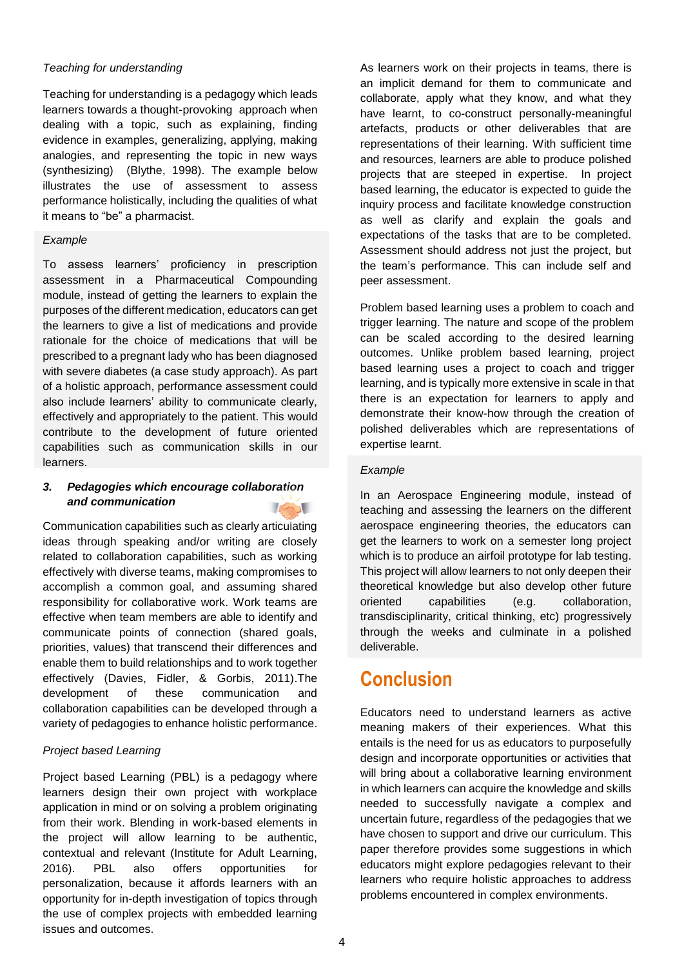#### *Teaching for understanding*

Teaching for understanding is a pedagogy which leads learners towards a thought-provoking approach when dealing with a topic, such as explaining, finding evidence in examples, generalizing, applying, making analogies, and representing the topic in new ways (synthesizing) (Blythe, 1998). The example below illustrates the use of assessment to assess performance holistically, including the qualities of what it means to "be" a pharmacist.

#### *Example*

To assess learners' proficiency in prescription assessment in a Pharmaceutical Compounding module, instead of getting the learners to explain the purposes of the different medication, educators can get the learners to give a list of medications and provide rationale for the choice of medications that will be prescribed to a pregnant lady who has been diagnosed with severe diabetes (a case study approach). As part of a holistic approach, performance assessment could also include learners' ability to communicate clearly, effectively and appropriately to the patient. This would contribute to the development of future oriented capabilities such as communication skills in our learners.

#### *3. Pedagogies which encourage collaboration and communication*

Communication capabilities such as clearly articulating ideas through speaking and/or writing are closely related to collaboration capabilities, such as working effectively with diverse teams, making compromises to accomplish a common goal, and assuming shared responsibility for collaborative work. Work teams are effective when team members are able to identify and communicate points of connection (shared goals, priorities, values) that transcend their differences and enable them to build relationships and to work together effectively (Davies, Fidler, & Gorbis, 2011).The development of these communication and collaboration capabilities can be developed through a variety of pedagogies to enhance holistic performance.

#### *Project based Learning*

Project based Learning (PBL) is a pedagogy where learners design their own project with workplace application in mind or on solving a problem originating from their work. Blending in work-based elements in the project will allow learning to be authentic, contextual and relevant (Institute for Adult Learning, 2016). PBL also offers opportunities for personalization, because it affords learners with an opportunity for in-depth investigation of topics through the use of complex projects with embedded learning issues and outcomes.

As learners work on their projects in teams, there is an implicit demand for them to communicate and collaborate, apply what they know, and what they have learnt, to co-construct personally-meaningful artefacts, products or other deliverables that are representations of their learning. With sufficient time and resources, learners are able to produce polished projects that are steeped in expertise. In project based learning, the educator is expected to guide the inquiry process and facilitate knowledge construction as well as clarify and explain the goals and expectations of the tasks that are to be completed. Assessment should address not just the project, but the team's performance. This can include self and peer assessment.

Problem based learning uses a problem to coach and trigger learning. The nature and scope of the problem can be scaled according to the desired learning outcomes. Unlike problem based learning, project based learning uses a project to coach and trigger learning, and is typically more extensive in scale in that there is an expectation for learners to apply and demonstrate their know-how through the creation of polished deliverables which are representations of expertise learnt.

#### *Example*

In an Aerospace Engineering module, instead of teaching and assessing the learners on the different aerospace engineering theories, the educators can get the learners to work on a semester long project which is to produce an airfoil prototype for lab testing. This project will allow learners to not only deepen their theoretical knowledge but also develop other future oriented capabilities (e.g. collaboration, transdisciplinarity, critical thinking, etc) progressively through the weeks and culminate in a polished deliverable.

## **Conclusion**

Educators need to understand learners as active meaning makers of their experiences. What this entails is the need for us as educators to purposefully design and incorporate opportunities or activities that will bring about a collaborative learning environment in which learners can acquire the knowledge and skills needed to successfully navigate a complex and uncertain future, regardless of the pedagogies that we have chosen to support and drive our curriculum. This paper therefore provides some suggestions in which educators might explore pedagogies relevant to their learners who require holistic approaches to address problems encountered in complex environments.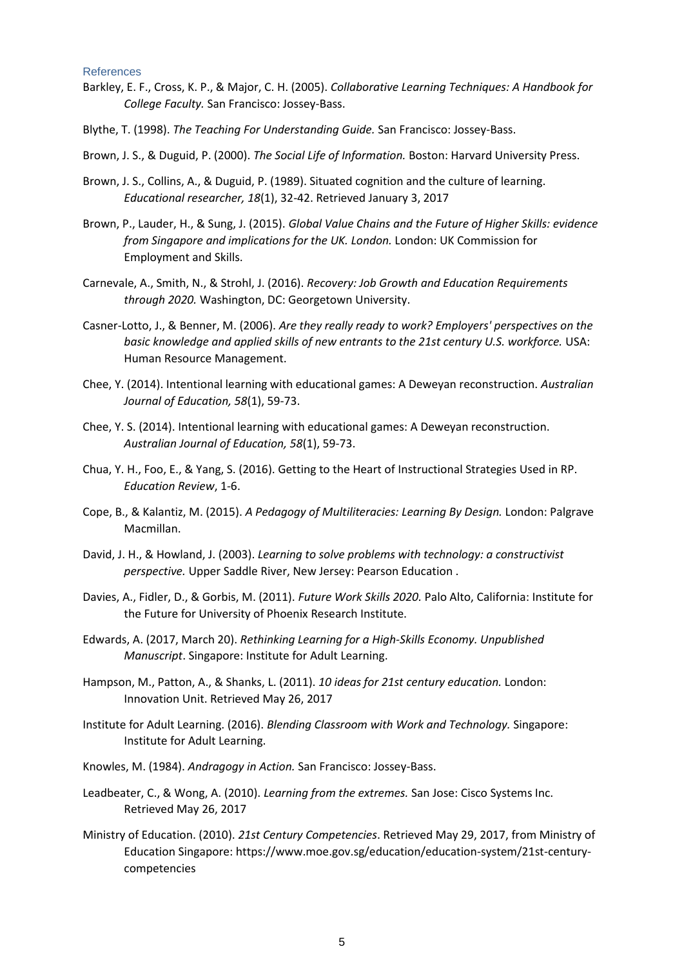#### References

- Barkley, E. F., Cross, K. P., & Major, C. H. (2005). *Collaborative Learning Techniques: A Handbook for College Faculty.* San Francisco: Jossey-Bass.
- Blythe, T. (1998). *The Teaching For Understanding Guide.* San Francisco: Jossey-Bass.
- Brown, J. S., & Duguid, P. (2000). *The Social Life of Information.* Boston: Harvard University Press.
- Brown, J. S., Collins, A., & Duguid, P. (1989). Situated cognition and the culture of learning. *Educational researcher, 18*(1), 32-42. Retrieved January 3, 2017
- Brown, P., Lauder, H., & Sung, J. (2015). *Global Value Chains and the Future of Higher Skills: evidence from Singapore and implications for the UK. London.* London: UK Commission for Employment and Skills.
- Carnevale, A., Smith, N., & Strohl, J. (2016). *Recovery: Job Growth and Education Requirements through 2020.* Washington, DC: Georgetown University.
- Casner-Lotto, J., & Benner, M. (2006). *Are they really ready to work? Employers' perspectives on the basic knowledge and applied skills of new entrants to the 21st century U.S. workforce.* USA: Human Resource Management.
- Chee, Y. (2014). Intentional learning with educational games: A Deweyan reconstruction. *Australian Journal of Education, 58*(1), 59-73.
- Chee, Y. S. (2014). Intentional learning with educational games: A Deweyan reconstruction. *Australian Journal of Education, 58*(1), 59-73.
- Chua, Y. H., Foo, E., & Yang, S. (2016). Getting to the Heart of Instructional Strategies Used in RP. *Education Review*, 1-6.
- Cope, B., & Kalantiz, M. (2015). *A Pedagogy of Multiliteracies: Learning By Design.* London: Palgrave Macmillan.
- David, J. H., & Howland, J. (2003). *Learning to solve problems with technology: a constructivist perspective.* Upper Saddle River, New Jersey: Pearson Education .
- Davies, A., Fidler, D., & Gorbis, M. (2011). *Future Work Skills 2020.* Palo Alto, California: Institute for the Future for University of Phoenix Research Institute.
- Edwards, A. (2017, March 20). *Rethinking Learning for a High-Skills Economy. Unpublished Manuscript*. Singapore: Institute for Adult Learning.
- Hampson, M., Patton, A., & Shanks, L. (2011). *10 ideas for 21st century education.* London: Innovation Unit. Retrieved May 26, 2017
- Institute for Adult Learning. (2016). *Blending Classroom with Work and Technology.* Singapore: Institute for Adult Learning.
- Knowles, M. (1984). *Andragogy in Action.* San Francisco: Jossey-Bass.
- Leadbeater, C., & Wong, A. (2010). *Learning from the extremes.* San Jose: Cisco Systems Inc. Retrieved May 26, 2017
- Ministry of Education. (2010). *21st Century Competencies*. Retrieved May 29, 2017, from Ministry of Education Singapore: https://www.moe.gov.sg/education/education-system/21st-centurycompetencies